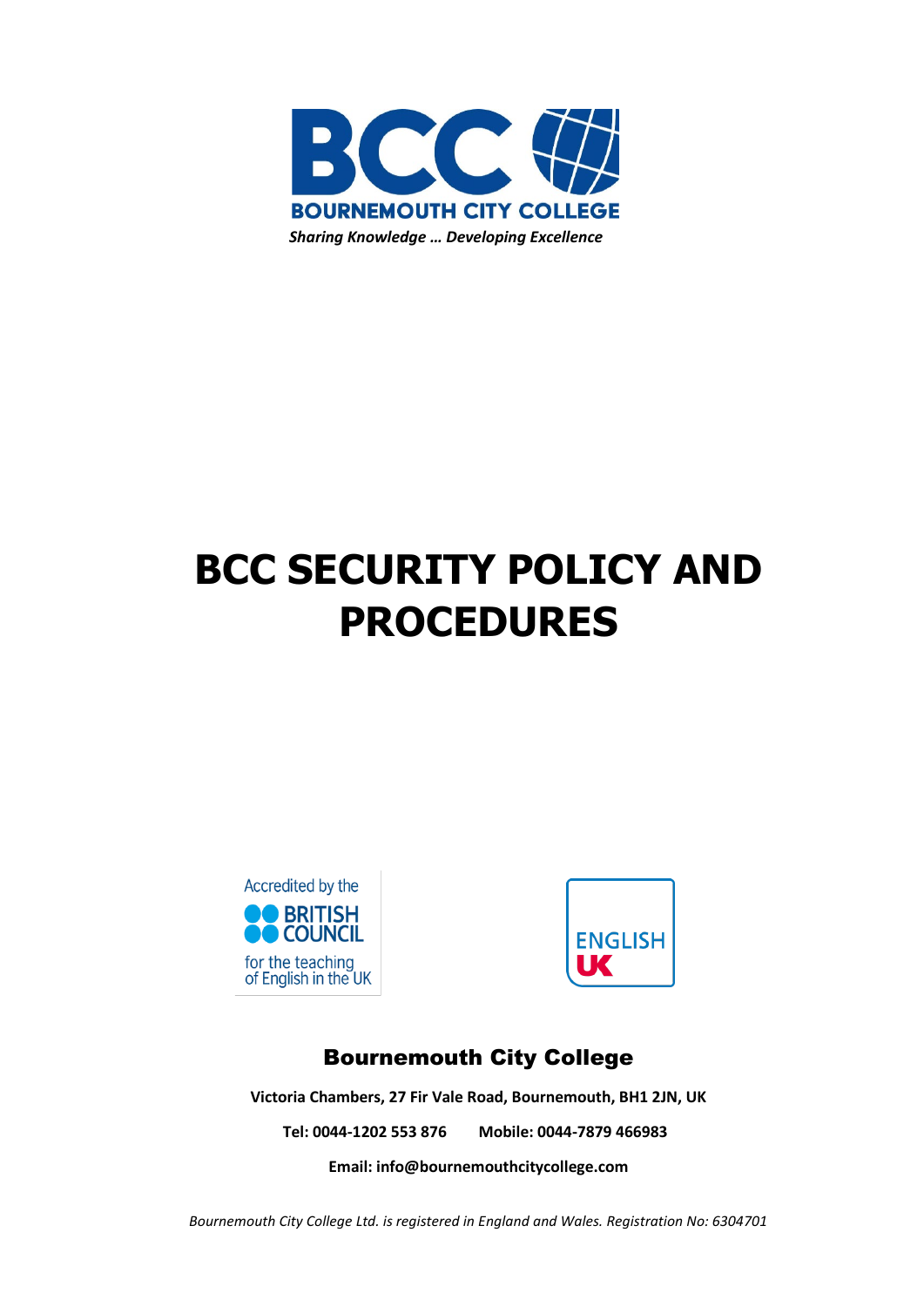

# **BCC SECURITY POLICY AND PROCEDURES**





# Bournemouth City College

**Victoria Chambers, 27 Fir Vale Road, Bournemouth, BH1 2JN, UK**

**Tel: 0044-1202 553 876 Mobile: 0044-7879 466983**

**Email[: info@bournemouthcitycollege.com](mailto:info@bournemouthcitycollege.com)**

*Bournemouth City College Ltd. is registered in England and Wales. Registration No: 6304701*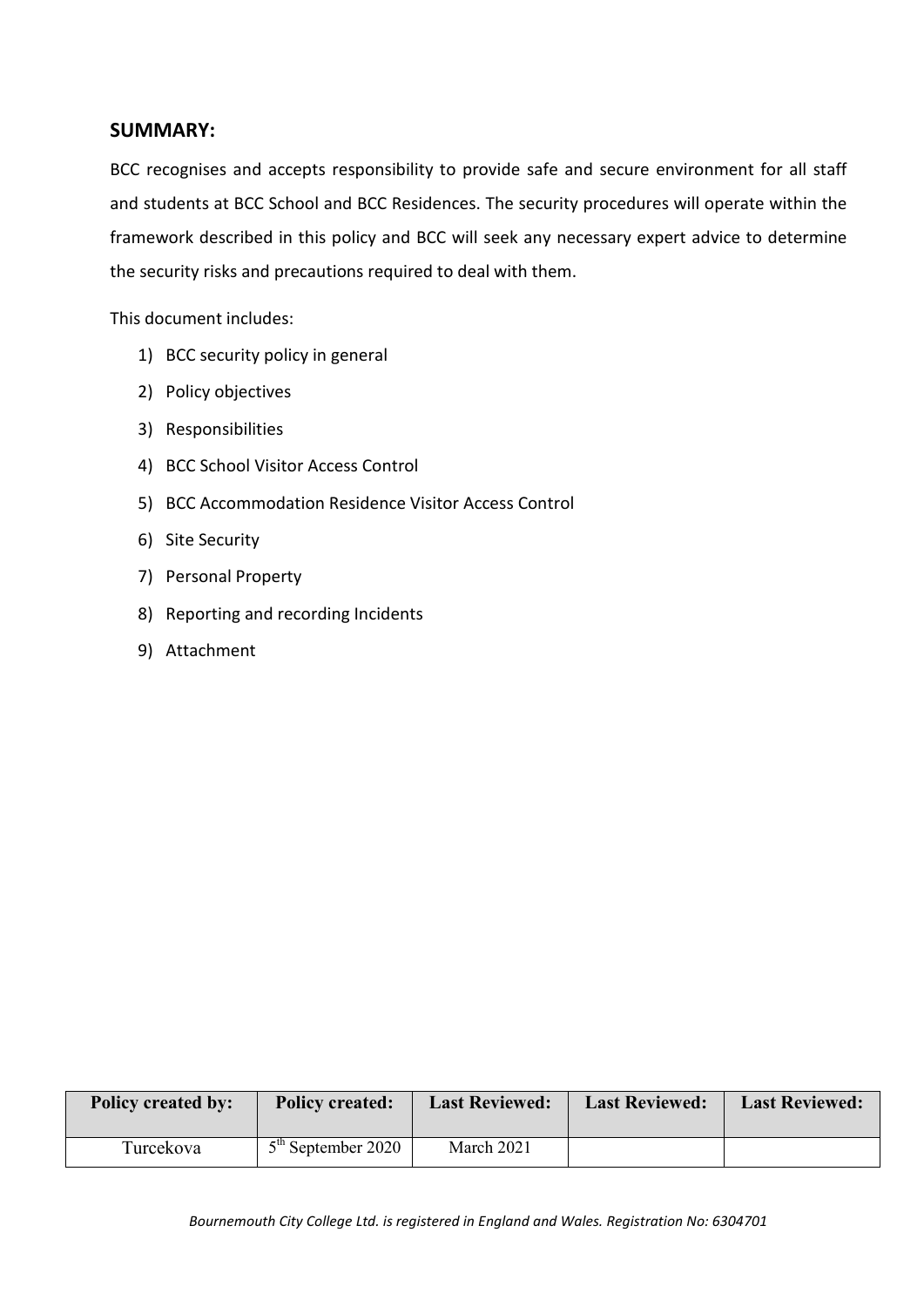#### **SUMMARY:**

BCC recognises and accepts responsibility to provide safe and secure environment for all staff and students at BCC School and BCC Residences. The security procedures will operate within the framework described in this policy and BCC will seek any necessary expert advice to determine the security risks and precautions required to deal with them.

This document includes:

- 1) BCC security policy in general
- 2) Policy objectives
- 3) Responsibilities
- 4) BCC School Visitor Access Control
- 5) BCC Accommodation Residence Visitor Access Control
- 6) Site Security
- 7) Personal Property
- 8) Reporting and recording Incidents
- 9) Attachment

| <b>Policy created by:</b> | <b>Policy created:</b> | <b>Last Reviewed:</b> | <b>Last Reviewed:</b> | <b>Last Reviewed:</b> |
|---------------------------|------------------------|-----------------------|-----------------------|-----------------------|
| Turcekova                 | $5th$ September 2020   | March 2021            |                       |                       |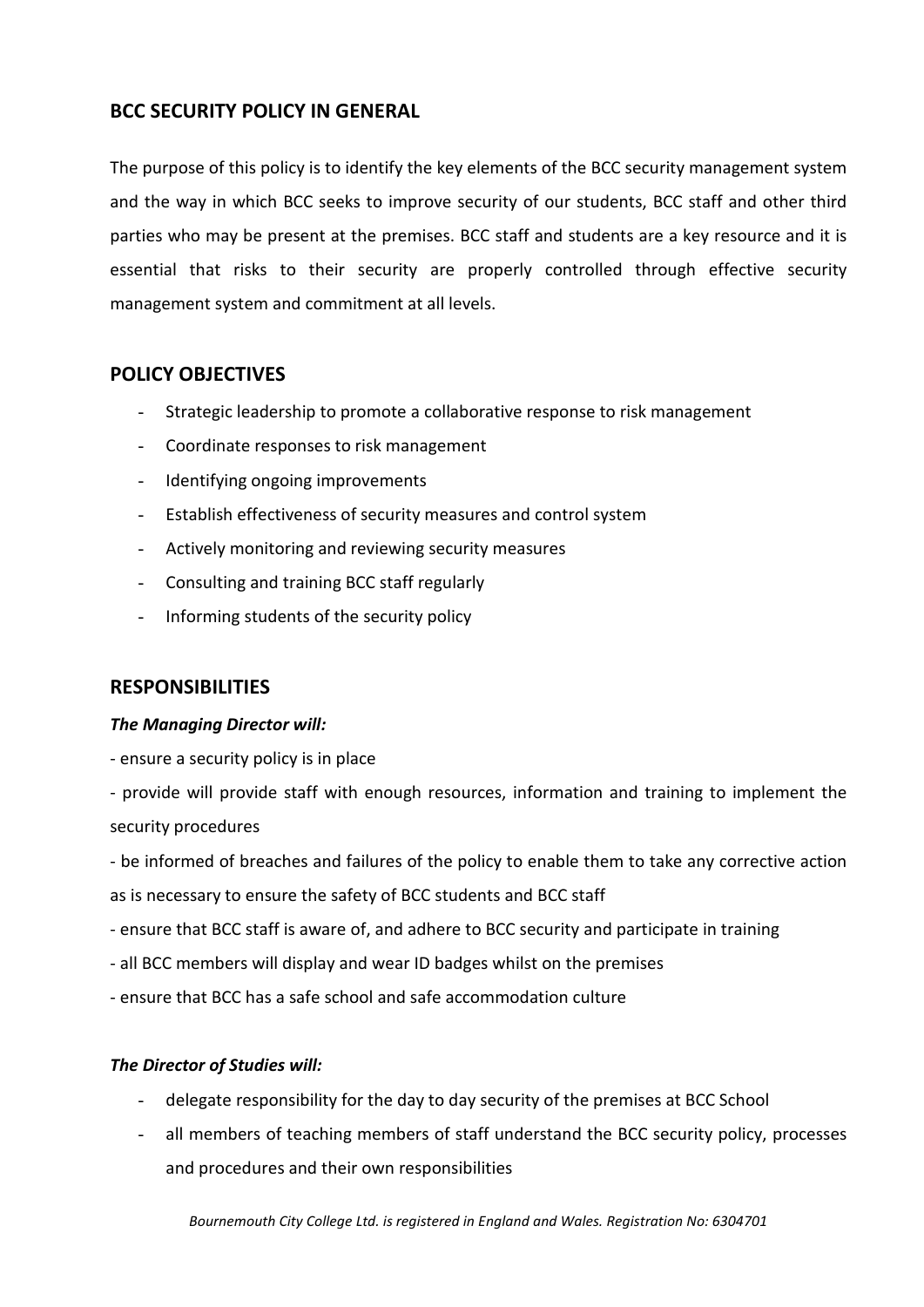# **BCC SECURITY POLICY IN GENERAL**

The purpose of this policy is to identify the key elements of the BCC security management system and the way in which BCC seeks to improve security of our students, BCC staff and other third parties who may be present at the premises. BCC staff and students are a key resource and it is essential that risks to their security are properly controlled through effective security management system and commitment at all levels.

## **POLICY OBJECTIVES**

- Strategic leadership to promote a collaborative response to risk management
- Coordinate responses to risk management
- Identifying ongoing improvements
- Establish effectiveness of security measures and control system
- Actively monitoring and reviewing security measures
- Consulting and training BCC staff regularly
- Informing students of the security policy

# **RESPONSIBILITIES**

#### *The Managing Director will:*

- ensure a security policy is in place

- provide will provide staff with enough resources, information and training to implement the security procedures

- be informed of breaches and failures of the policy to enable them to take any corrective action as is necessary to ensure the safety of BCC students and BCC staff

- ensure that BCC staff is aware of, and adhere to BCC security and participate in training
- all BCC members will display and wear ID badges whilst on the premises
- ensure that BCC has a safe school and safe accommodation culture

#### *The Director of Studies will:*

- delegate responsibility for the day to day security of the premises at BCC School
- all members of teaching members of staff understand the BCC security policy, processes and procedures and their own responsibilities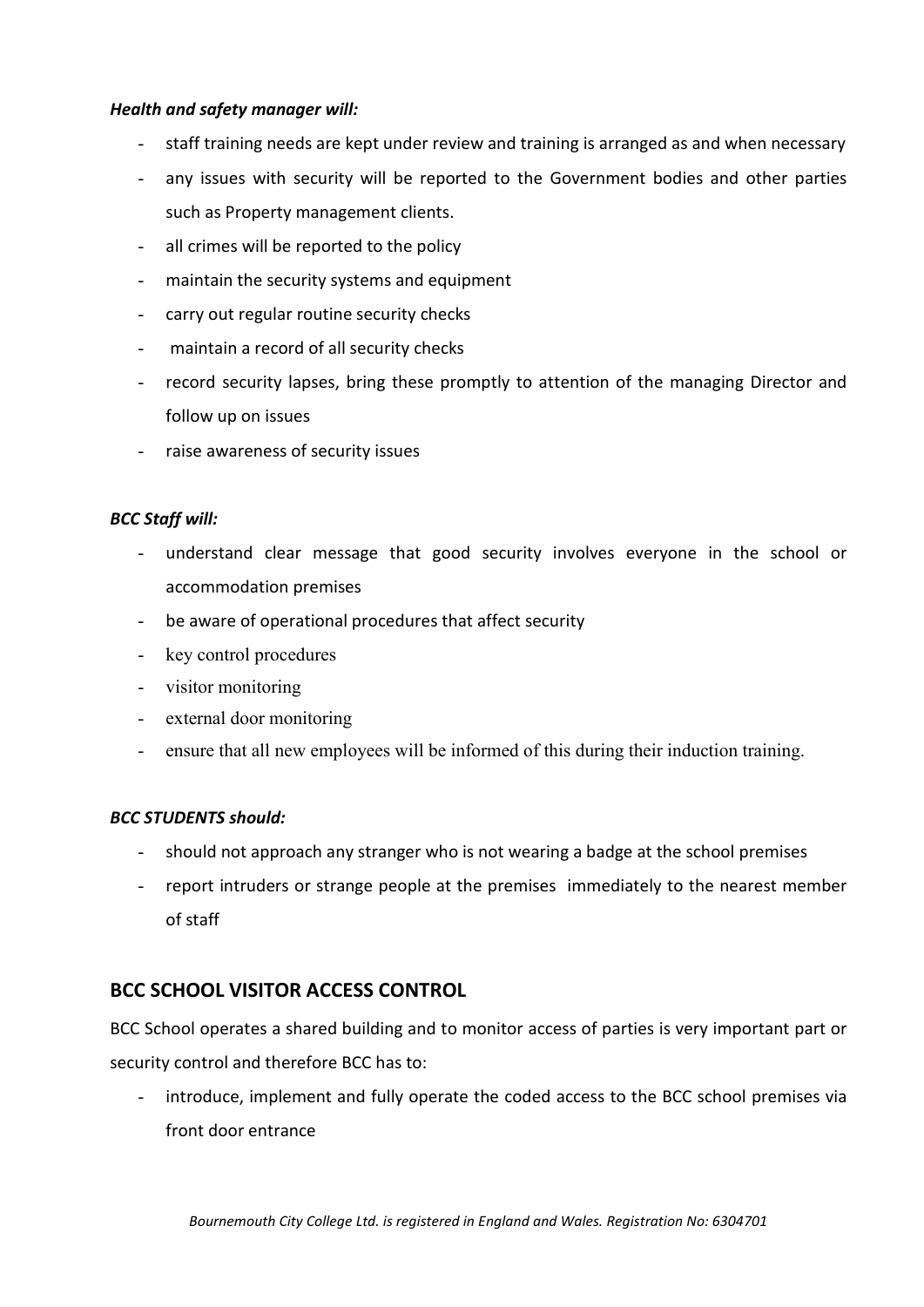#### *Health and safety manager will:*

- staff training needs are kept under review and training is arranged as and when necessary
- any issues with security will be reported to the Government bodies and other parties such as Property management clients.
- all crimes will be reported to the policy
- maintain the security systems and equipment
- carry out regular routine security checks
- maintain a record of all security checks
- record security lapses, bring these promptly to attention of the managing Director and follow up on issues
- raise awareness of security issues

#### *BCC Staff will:*

- understand clear message that good security involves everyone in the school or accommodation premises
- be aware of operational procedures that affect security
- key control procedures
- visitor monitoring
- external door monitoring
- ensure that all new employees will be informed of this during their induction training.

#### *BCC STUDENTS should:*

- should not approach any stranger who is not wearing a badge at the school premises
- report intruders or strange people at the premises immediately to the nearest member of staff

#### **BCC SCHOOL VISITOR ACCESS CONTROL**

BCC School operates a shared building and to monitor access of parties is very important part or security control and therefore BCC has to:

- introduce, implement and fully operate the coded access to the BCC school premises via front door entrance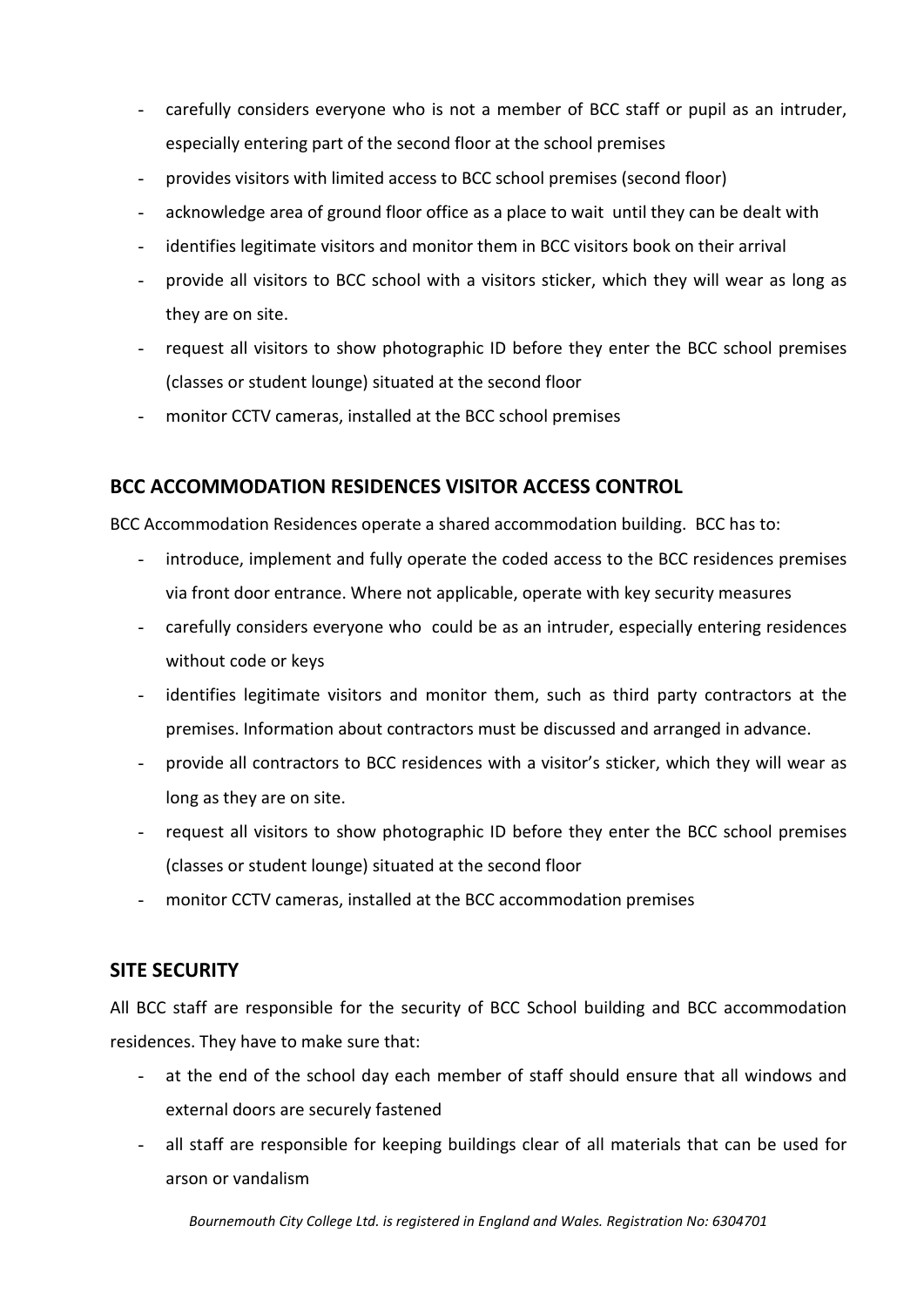- carefully considers everyone who is not a member of BCC staff or pupil as an intruder, especially entering part of the second floor at the school premises
- provides visitors with limited access to BCC school premises (second floor)
- acknowledge area of ground floor office as a place to wait until they can be dealt with
- identifies legitimate visitors and monitor them in BCC visitors book on their arrival
- provide all visitors to BCC school with a visitors sticker, which they will wear as long as they are on site.
- request all visitors to show photographic ID before they enter the BCC school premises (classes or student lounge) situated at the second floor
- monitor CCTV cameras, installed at the BCC school premises

### **BCC ACCOMMODATION RESIDENCES VISITOR ACCESS CONTROL**

BCC Accommodation Residences operate a shared accommodation building. BCC has to:

- introduce, implement and fully operate the coded access to the BCC residences premises via front door entrance. Where not applicable, operate with key security measures
- carefully considers everyone who could be as an intruder, especially entering residences without code or keys
- identifies legitimate visitors and monitor them, such as third party contractors at the premises. Information about contractors must be discussed and arranged in advance.
- provide all contractors to BCC residences with a visitor's sticker, which they will wear as long as they are on site.
- request all visitors to show photographic ID before they enter the BCC school premises (classes or student lounge) situated at the second floor
- monitor CCTV cameras, installed at the BCC accommodation premises

#### **SITE SECURITY**

All BCC staff are responsible for the security of BCC School building and BCC accommodation residences. They have to make sure that:

- at the end of the school day each member of staff should ensure that all windows and external doors are securely fastened
- all staff are responsible for keeping buildings clear of all materials that can be used for arson or vandalism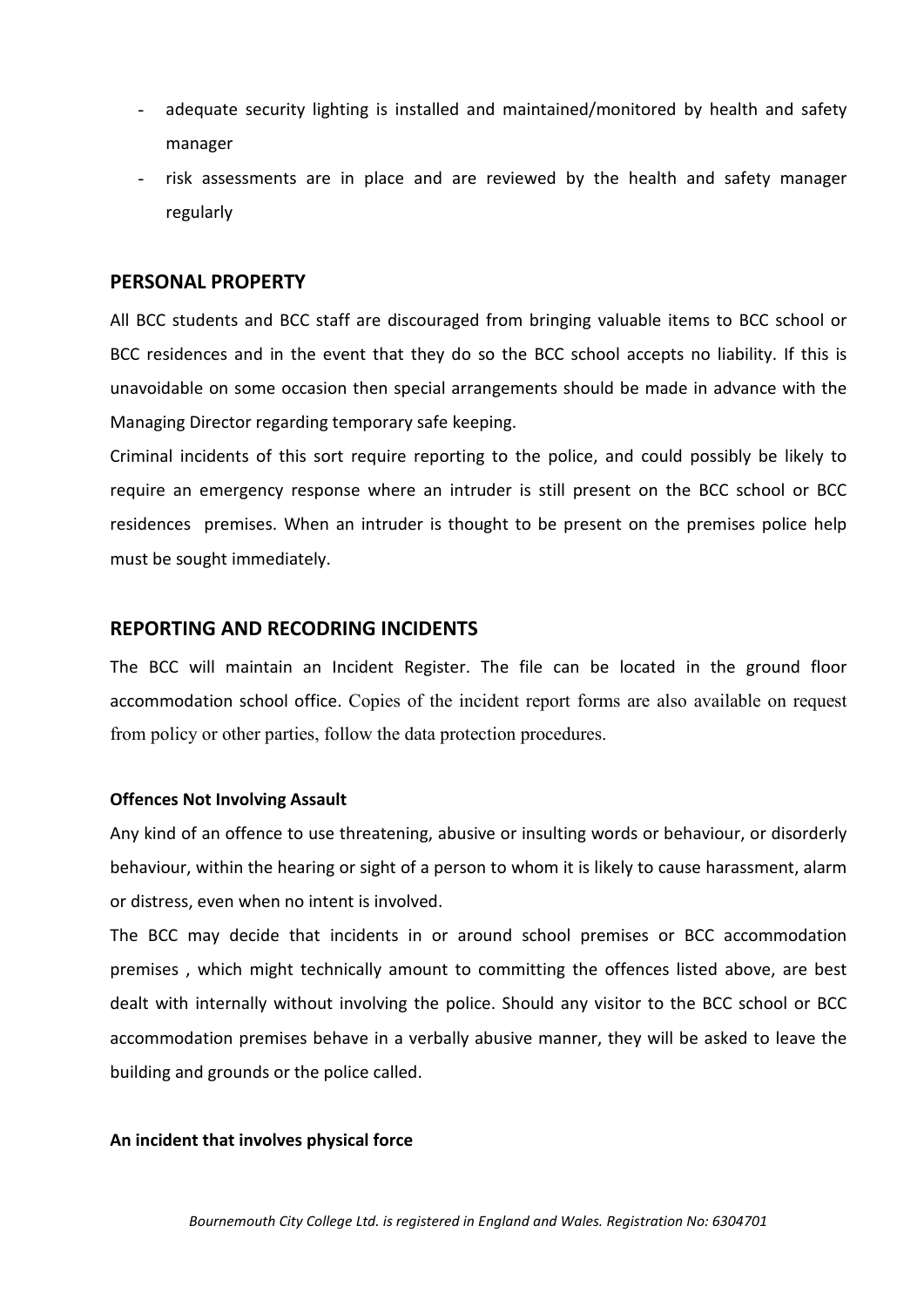- adequate security lighting is installed and maintained/monitored by health and safety manager
- risk assessments are in place and are reviewed by the health and safety manager regularly

#### **PERSONAL PROPERTY**

All BCC students and BCC staff are discouraged from bringing valuable items to BCC school or BCC residences and in the event that they do so the BCC school accepts no liability. If this is unavoidable on some occasion then special arrangements should be made in advance with the Managing Director regarding temporary safe keeping.

Criminal incidents of this sort require reporting to the police, and could possibly be likely to require an emergency response where an intruder is still present on the BCC school or BCC residences premises. When an intruder is thought to be present on the premises police help must be sought immediately.

#### **REPORTING AND RECODRING INCIDENTS**

The BCC will maintain an Incident Register. The file can be located in the ground floor accommodation school office. Copies of the incident report forms are also available on request from policy or other parties, follow the data protection procedures.

#### **Offences Not Involving Assault**

Any kind of an offence to use threatening, abusive or insulting words or behaviour, or disorderly behaviour, within the hearing or sight of a person to whom it is likely to cause harassment, alarm or distress, even when no intent is involved.

The BCC may decide that incidents in or around school premises or BCC accommodation premises , which might technically amount to committing the offences listed above, are best dealt with internally without involving the police. Should any visitor to the BCC school or BCC accommodation premises behave in a verbally abusive manner, they will be asked to leave the building and grounds or the police called.

#### **An incident that involves physical force**